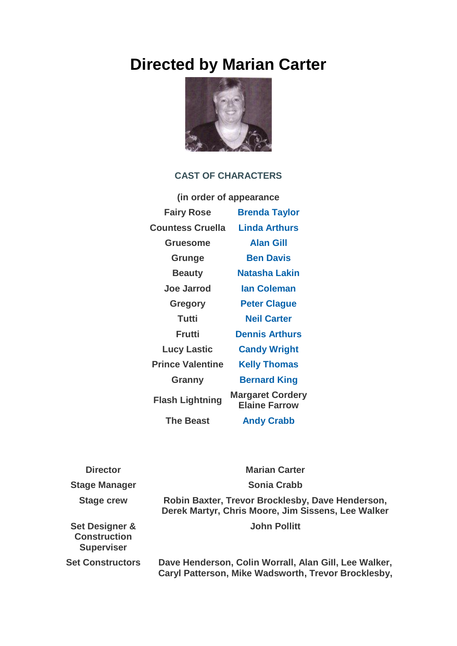## **Directed by Marian Carter**



## **CAST OF CHARACTERS**

| (in order of appearance |                                                 |
|-------------------------|-------------------------------------------------|
| <b>Fairy Rose</b>       | <b>Brenda Taylor</b>                            |
| <b>Countess Cruella</b> | <b>Linda Arthurs</b>                            |
| Gruesome                | <b>Alan Gill</b>                                |
| Grunge                  | <b>Ben Davis</b>                                |
| <b>Beauty</b>           | Natasha Lakin                                   |
| Joe Jarrod              | <b>lan Coleman</b>                              |
| <b>Gregory</b>          | <b>Peter Clague</b>                             |
| <b>Tutti</b>            | <b>Neil Carter</b>                              |
| Frutti                  | <b>Dennis Arthurs</b>                           |
| <b>Lucy Lastic</b>      | <b>Candy Wright</b>                             |
| <b>Prince Valentine</b> | <b>Kelly Thomas</b>                             |
| Granny                  | <b>Bernard King</b>                             |
| <b>Flash Lightning</b>  | <b>Margaret Cordery</b><br><b>Elaine Farrow</b> |
| <b>The Beast</b>        | <b>Andy Crabb</b>                               |

| <b>Director</b>                                            | <b>Marian Carter</b>                                                                                         |
|------------------------------------------------------------|--------------------------------------------------------------------------------------------------------------|
| <b>Stage Manager</b>                                       | <b>Sonia Crabb</b>                                                                                           |
| <b>Stage crew</b>                                          | Robin Baxter, Trevor Brocklesby, Dave Henderson,<br>Derek Martyr, Chris Moore, Jim Sissens, Lee Walker       |
| Set Designer &<br><b>Construction</b><br><b>Superviser</b> | <b>John Pollitt</b>                                                                                          |
| <b>Set Constructors</b>                                    | Dave Henderson, Colin Worrall, Alan Gill, Lee Walker,<br>Caryl Patterson, Mike Wadsworth, Trevor Brocklesby, |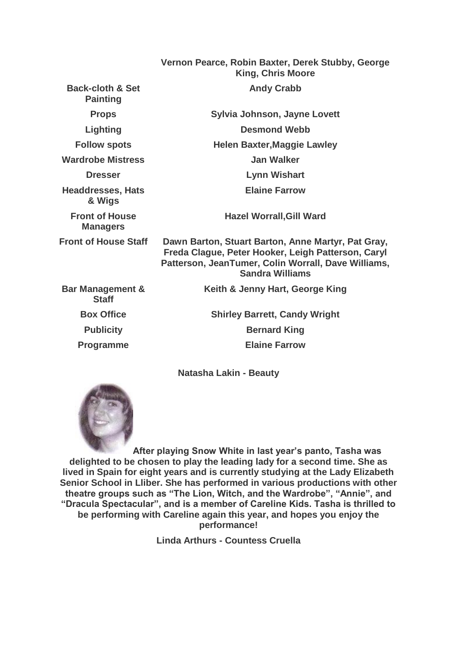|                                                | Vernon Pearce, Robin Baxter, Derek Stubby, George<br><b>King, Chris Moore</b>                                                                                                             |
|------------------------------------------------|-------------------------------------------------------------------------------------------------------------------------------------------------------------------------------------------|
| <b>Back-cloth &amp; Set</b><br><b>Painting</b> | <b>Andy Crabb</b>                                                                                                                                                                         |
| <b>Props</b>                                   | Sylvia Johnson, Jayne Lovett                                                                                                                                                              |
| <b>Lighting</b>                                | <b>Desmond Webb</b>                                                                                                                                                                       |
| <b>Follow spots</b>                            | <b>Helen Baxter, Maggie Lawley</b>                                                                                                                                                        |
| <b>Wardrobe Mistress</b>                       | <b>Jan Walker</b>                                                                                                                                                                         |
| <b>Dresser</b>                                 | <b>Lynn Wishart</b>                                                                                                                                                                       |
| <b>Headdresses, Hats</b><br>& Wigs             | <b>Elaine Farrow</b>                                                                                                                                                                      |
| <b>Front of House</b><br><b>Managers</b>       | <b>Hazel Worrall, Gill Ward</b>                                                                                                                                                           |
| <b>Front of House Staff</b>                    | Dawn Barton, Stuart Barton, Anne Martyr, Pat Gray,<br>Freda Clague, Peter Hooker, Leigh Patterson, Caryl<br>Patterson, JeanTumer, Colin Worrall, Dave Williams,<br><b>Sandra Williams</b> |
| <b>Bar Management &amp;</b><br><b>Staff</b>    | Keith & Jenny Hart, George King                                                                                                                                                           |
| <b>Box Office</b>                              | <b>Shirley Barrett, Candy Wright</b>                                                                                                                                                      |
| <b>Publicity</b>                               | <b>Bernard King</b>                                                                                                                                                                       |
| <b>Programme</b>                               | <b>Elaine Farrow</b>                                                                                                                                                                      |

**Natasha Lakin - Beauty**



**After playing Snow White in last year's panto, Tasha was delighted to be chosen to play the leading lady for a second time. She as lived in Spain for eight years and is currently studying at the Lady Elizabeth Senior School in Lliber. She has performed in various productions with other theatre groups such as "The Lion, Witch, and the Wardrobe", "Annie", and "Dracula Spectacular", and is a member of Careline Kids. Tasha is thrilled to be performing with Careline again this year, and hopes you enjoy the performance!**

**Linda Arthurs - Countess Cruella**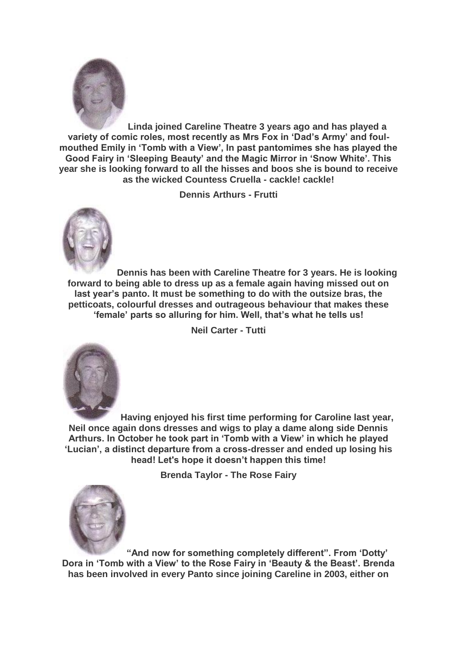

**Linda joined Careline Theatre 3 years ago and has played a variety of comic roles, most recently as Mrs Fox in 'Dad's Army' and foulmouthed Emily in 'Tomb with a View', In past pantomimes she has played the Good Fairy in 'Sleeping Beauty' and the Magic Mirror in 'Snow White'. This year she is looking forward to all the hisses and boos she is bound to receive as the wicked Countess Cruella - cackle! cackle!**

**Dennis Arthurs - Frutti**



**Dennis has been with Careline Theatre for 3 years. He is looking forward to being able to dress up as a female again having missed out on last year's panto. It must be something to do with the outsize bras, the petticoats, colourful dresses and outrageous behaviour that makes these 'female' parts so alluring for him. Well, that's what he tells us!**

**Neil Carter - Tutti**



**Having enjoyed his first time performing for Caroline last year, Neil once again dons dresses and wigs to play a dame along side Dennis Arthurs. In October he took part in 'Tomb with a View' in which he played 'Lucian', a distinct departure from a cross-dresser and ended up losing his head! Let's hope it doesn't happen this time!**

**Brenda Taylor - The Rose Fairy**



**"And now for something completely different". From 'Dotty' Dora in 'Tomb with a View' to the Rose Fairy in 'Beauty & the Beast'. Brenda has been involved in every Panto since joining Careline in 2003, either on**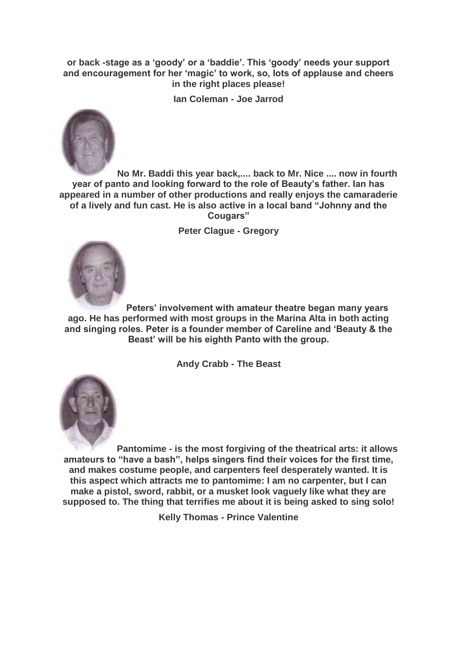**or back -stage as a 'goody' or a 'baddie'. This 'goody' needs your support and encouragement for her 'magic' to work, so, lots of applause and cheers in the right places please!**

**Ian Coleman - Joe Jarrod**



**No Mr. Baddi this year back,.... back to Mr. Nice .... now in fourth year of panto and looking forward to the role of Beauty's father. Ian has appeared in a number of other productions and really enjoys the camaraderie of a lively and fun cast. He is also active in a local band "Johnny and the Cougars"**

**Peter Clague - Gregory**



**Peters' involvement with amateur theatre began many years ago. He has performed with most groups in the Marina Alta in both acting and singing roles. Peter is a founder member of Careline and 'Beauty & the Beast' will be his eighth Panto with the group.**

**Andy Crabb - The Beast**



**Pantomime - is the most forgiving of the theatrical arts: it allows amateurs to "have a bash", helps singers find their voices for the first time, and makes costume people, and carpenters feel desperately wanted. It is this aspect which attracts me to pantomime: I am no carpenter, but I can make a pistol, sword, rabbit, or a musket look vaguely like what they are supposed to. The thing that terrifies me about it is being asked to sing solo!**

**Kelly Thomas - Prince Valentine**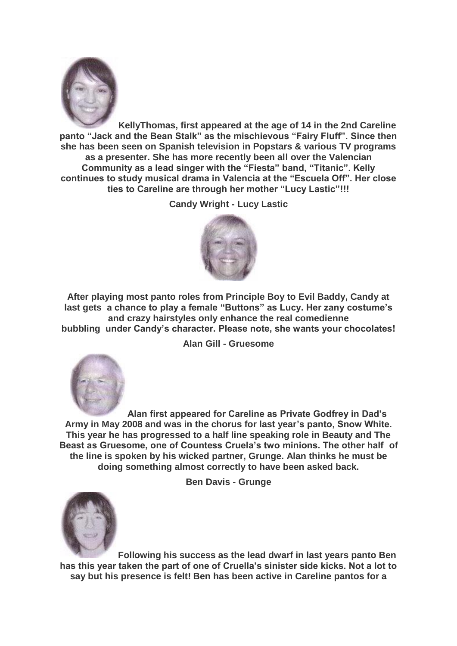

**KellyThomas, first appeared at the age of 14 in the 2nd Careline panto "Jack and the Bean Stalk" as the mischievous "Fairy Fluff". Since then she has been seen on Spanish television in Popstars & various TV programs as a presenter. She has more recently been all over the Valencian Community as a lead singer with the "Fiesta" band, "Titanic". Kelly continues to study musical drama in Valencia at the "Escuela Off". Her close ties to Careline are through her mother "Lucy Lastic"!!!**

**Candy Wright - Lucy Lastic**



**After playing most panto roles from Principle Boy to Evil Baddy, Candy at last gets a chance to play a female "Buttons" as Lucy. Her zany costume's and crazy hairstyles only enhance the real comedienne bubbling under Candy's character. Please note, she wants your chocolates!**

**Alan Gill - Gruesome**



**Alan first appeared for Careline as Private Godfrey in Dad's Army in May 2008 and was in the chorus for last year's panto, Snow White. This year he has progressed to a half line speaking role in Beauty and The Beast as Gruesome, one of Countess Cruela's two minions. The other half of the line is spoken by his wicked partner, Grunge. Alan thinks he must be doing something almost correctly to have been asked back.**

**Ben Davis - Grunge**



**Following his success as the lead dwarf in last years panto Ben has this year taken the part of one of Cruella's sinister side kicks. Not a lot to say but his presence is felt! Ben has been active in Careline pantos for a**